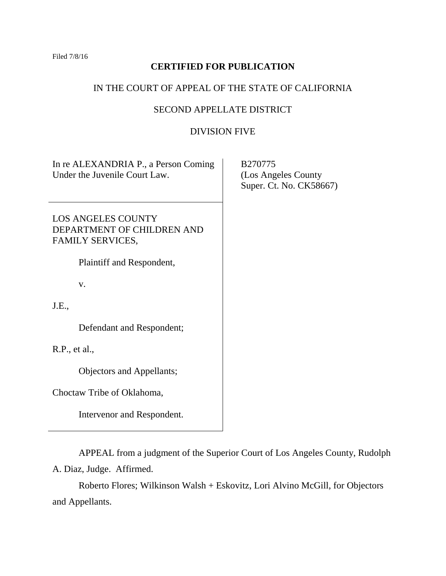Filed 7/8/16

# **CERTIFIED FOR PUBLICATION**

# IN THE COURT OF APPEAL OF THE STATE OF CALIFORNIA

# SECOND APPELLATE DISTRICT

# DIVISION FIVE

In re ALEXANDRIA P., a Person Coming Under the Juvenile Court Law.

 B270775 (Los Angeles County Super. Ct. No. CK58667)

LOS ANGELES COUNTY DEPARTMENT OF CHILDREN AND FAMILY SERVICES,

Plaintiff and Respondent,

v.

J.E.,

Defendant and Respondent;

R.P., et al.,

Objectors and Appellants;

Choctaw Tribe of Oklahoma,

Intervenor and Respondent.

APPEAL from a judgment of the Superior Court of Los Angeles County, Rudolph A. Diaz, Judge. Affirmed.

Roberto Flores; Wilkinson Walsh + Eskovitz, Lori Alvino McGill, for Objectors and Appellants.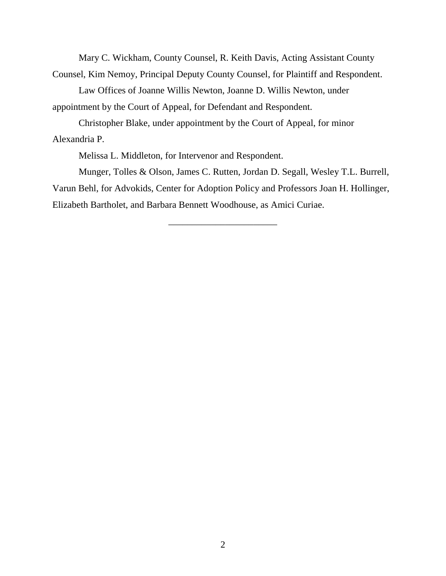Mary C. Wickham, County Counsel, R. Keith Davis, Acting Assistant County Counsel, Kim Nemoy, Principal Deputy County Counsel, for Plaintiff and Respondent.

Law Offices of Joanne Willis Newton, Joanne D. Willis Newton, under appointment by the Court of Appeal, for Defendant and Respondent.

Christopher Blake, under appointment by the Court of Appeal, for minor Alexandria P.

Melissa L. Middleton, for Intervenor and Respondent.

Munger, Tolles & Olson, James C. Rutten, Jordan D. Segall, Wesley T.L. Burrell, Varun Behl, for Advokids, Center for Adoption Policy and Professors Joan H. Hollinger, Elizabeth Bartholet, and Barbara Bennett Woodhouse, as Amici Curiae.

\_\_\_\_\_\_\_\_\_\_\_\_\_\_\_\_\_\_\_\_\_\_\_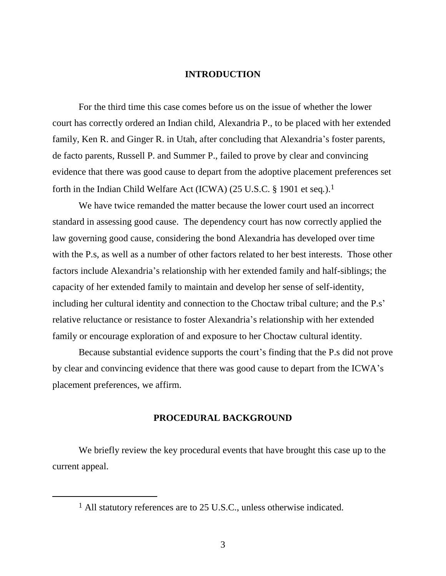### **INTRODUCTION**

For the third time this case comes before us on the issue of whether the lower court has correctly ordered an Indian child, Alexandria P., to be placed with her extended family, Ken R. and Ginger R. in Utah, after concluding that Alexandria's foster parents, de facto parents, Russell P. and Summer P., failed to prove by clear and convincing evidence that there was good cause to depart from the adoptive placement preferences set forth in the Indian Child Welfare Act (ICWA) (25 U.S.C. § 1901 et seq*.*).<sup>1</sup>

We have twice remanded the matter because the lower court used an incorrect standard in assessing good cause. The dependency court has now correctly applied the law governing good cause, considering the bond Alexandria has developed over time with the P.s, as well as a number of other factors related to her best interests. Those other factors include Alexandria's relationship with her extended family and half-siblings; the capacity of her extended family to maintain and develop her sense of self-identity, including her cultural identity and connection to the Choctaw tribal culture; and the P.s' relative reluctance or resistance to foster Alexandria's relationship with her extended family or encourage exploration of and exposure to her Choctaw cultural identity.

Because substantial evidence supports the court's finding that the P.s did not prove by clear and convincing evidence that there was good cause to depart from the ICWA's placement preferences, we affirm.

### **PROCEDURAL BACKGROUND**

We briefly review the key procedural events that have brought this case up to the current appeal.

 $\overline{a}$ 

<sup>&</sup>lt;sup>1</sup> All statutory references are to 25 U.S.C., unless otherwise indicated.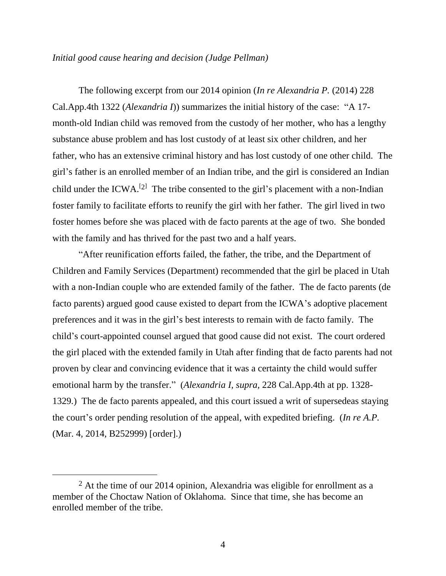#### *Initial good cause hearing and decision (Judge Pellman)*

The following excerpt from our 2014 opinion (*In re Alexandria P.* (2014) 228 Cal.App.4th 1322 (*Alexandria I*)) summarizes the initial history of the case: "A 17 month-old Indian child was removed from the custody of her mother, who has a lengthy substance abuse problem and has lost custody of at least six other children, and her father, who has an extensive criminal history and has lost custody of one other child. The girl's father is an enrolled member of an Indian tribe, and the girl is considered an Indian child under the ICWA.<sup>[2]</sup> The tribe consented to the girl's placement with a non-Indian foster family to facilitate efforts to reunify the girl with her father. The girl lived in two foster homes before she was placed with de facto parents at the age of two. She bonded with the family and has thrived for the past two and a half years.

"After reunification efforts failed, the father, the tribe, and the Department of Children and Family Services (Department) recommended that the girl be placed in Utah with a non-Indian couple who are extended family of the father. The de facto parents (de facto parents) argued good cause existed to depart from the ICWA's adoptive placement preferences and it was in the girl's best interests to remain with de facto family. The child's court-appointed counsel argued that good cause did not exist. The court ordered the girl placed with the extended family in Utah after finding that de facto parents had not proven by clear and convincing evidence that it was a certainty the child would suffer emotional harm by the transfer." (*Alexandria I, supra,* 228 Cal.App.4th at pp. 1328- 1329*.*) The de facto parents appealed, and this court issued a writ of supersedeas staying the court's order pending resolution of the appeal, with expedited briefing. (*In re A.P.* (Mar. 4, 2014, B252999) [order].)

 $\overline{a}$ 

 $2$  At the time of our 2014 opinion, Alexandria was eligible for enrollment as a member of the Choctaw Nation of Oklahoma. Since that time, she has become an enrolled member of the tribe.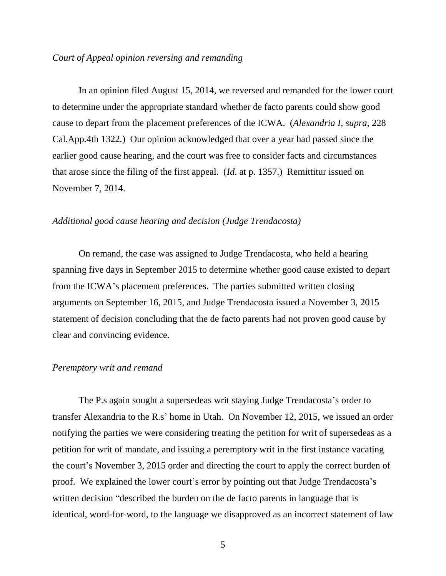#### *Court of Appeal opinion reversing and remanding*

In an opinion filed August 15, 2014, we reversed and remanded for the lower court to determine under the appropriate standard whether de facto parents could show good cause to depart from the placement preferences of the ICWA. (*Alexandria I, supra,* 228 Cal.App.4th 1322*.*) Our opinion acknowledged that over a year had passed since the earlier good cause hearing, and the court was free to consider facts and circumstances that arose since the filing of the first appeal. (*Id*. at p. 1357.) Remittitur issued on November 7, 2014.

### *Additional good cause hearing and decision (Judge Trendacosta)*

On remand, the case was assigned to Judge Trendacosta, who held a hearing spanning five days in September 2015 to determine whether good cause existed to depart from the ICWA's placement preferences. The parties submitted written closing arguments on September 16, 2015, and Judge Trendacosta issued a November 3, 2015 statement of decision concluding that the de facto parents had not proven good cause by clear and convincing evidence.

#### *Peremptory writ and remand*

The P.s again sought a supersedeas writ staying Judge Trendacosta's order to transfer Alexandria to the R.s' home in Utah. On November 12, 2015, we issued an order notifying the parties we were considering treating the petition for writ of supersedeas as a petition for writ of mandate, and issuing a peremptory writ in the first instance vacating the court's November 3, 2015 order and directing the court to apply the correct burden of proof. We explained the lower court's error by pointing out that Judge Trendacosta's written decision "described the burden on the de facto parents in language that is identical, word-for-word, to the language we disapproved as an incorrect statement of law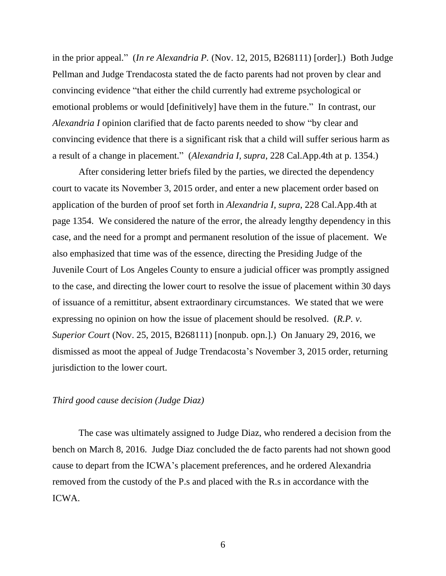in the prior appeal." (*In re Alexandria P.* (Nov. 12, 2015, B268111) [order].) Both Judge Pellman and Judge Trendacosta stated the de facto parents had not proven by clear and convincing evidence "that either the child currently had extreme psychological or emotional problems or would [definitively] have them in the future." In contrast, our *Alexandria I* opinion clarified that de facto parents needed to show "by clear and convincing evidence that there is a significant risk that a child will suffer serious harm as a result of a change in placement." (*Alexandria I, supra*, 228 Cal.App.4th at p. 1354.)

After considering letter briefs filed by the parties, we directed the dependency court to vacate its November 3, 2015 order, and enter a new placement order based on application of the burden of proof set forth in *Alexandria I, supra*, 228 Cal.App.4th at page 1354. We considered the nature of the error, the already lengthy dependency in this case, and the need for a prompt and permanent resolution of the issue of placement. We also emphasized that time was of the essence, directing the Presiding Judge of the Juvenile Court of Los Angeles County to ensure a judicial officer was promptly assigned to the case, and directing the lower court to resolve the issue of placement within 30 days of issuance of a remittitur, absent extraordinary circumstances. We stated that we were expressing no opinion on how the issue of placement should be resolved. (*R.P. v. Superior Court* (Nov. 25, 2015, B268111) [nonpub. opn.].) On January 29, 2016, we dismissed as moot the appeal of Judge Trendacosta's November 3, 2015 order, returning jurisdiction to the lower court.

### *Third good cause decision (Judge Diaz)*

The case was ultimately assigned to Judge Diaz, who rendered a decision from the bench on March 8, 2016. Judge Diaz concluded the de facto parents had not shown good cause to depart from the ICWA's placement preferences, and he ordered Alexandria removed from the custody of the P.s and placed with the R.s in accordance with the ICWA.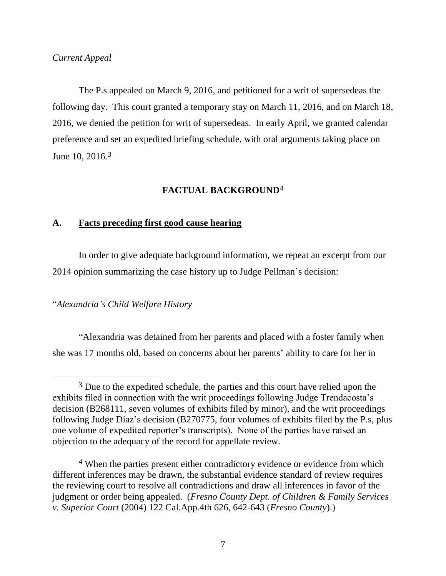### *Current Appeal*

The P.s appealed on March 9, 2016, and petitioned for a writ of supersedeas the following day. This court granted a temporary stay on March 11, 2016, and on March 18, 2016, we denied the petition for writ of supersedeas. In early April, we granted calendar preference and set an expedited briefing schedule, with oral arguments taking place on June 10, 2016.<sup>3</sup>

# **FACTUAL BACKGROUND**<sup>4</sup>

## **A. Facts preceding first good cause hearing**

In order to give adequate background information, we repeat an excerpt from our 2014 opinion summarizing the case history up to Judge Pellman's decision:

### "*Alexandria's Child Welfare History*

 $\overline{a}$ 

"Alexandria was detained from her parents and placed with a foster family when she was 17 months old, based on concerns about her parents' ability to care for her in

<sup>&</sup>lt;sup>3</sup> Due to the expedited schedule, the parties and this court have relied upon the exhibits filed in connection with the writ proceedings following Judge Trendacosta's decision (B268111, seven volumes of exhibits filed by minor), and the writ proceedings following Judge Diaz's decision (B270775, four volumes of exhibits filed by the P.s, plus one volume of expedited reporter's transcripts). None of the parties have raised an objection to the adequacy of the record for appellate review.

<sup>&</sup>lt;sup>4</sup> When the parties present either contradictory evidence or evidence from which different inferences may be drawn, the substantial evidence standard of review requires the reviewing court to resolve all contradictions and draw all inferences in favor of the judgment or order being appealed. (*Fresno County Dept. of Children & Family Services v. Superior Court* (2004) 122 Cal.App.4th 626, 642-643 (*Fresno County*).)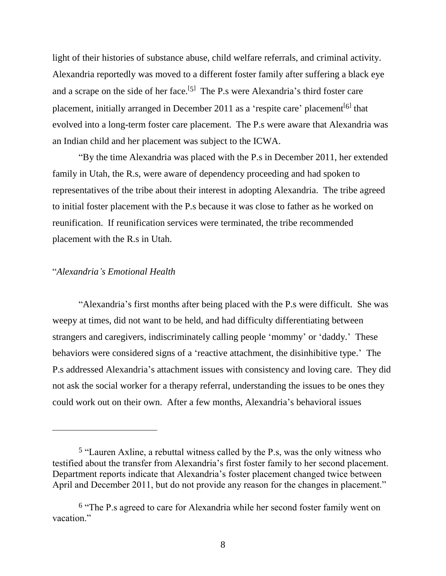light of their histories of substance abuse, child welfare referrals, and criminal activity. Alexandria reportedly was moved to a different foster family after suffering a black eye and a scrape on the side of her face.<sup>[5]</sup> The P.s were Alexandria's third foster care placement, initially arranged in December 2011 as a 'respite care' placement<sup>[6]</sup> that evolved into a long-term foster care placement. The P.s were aware that Alexandria was an Indian child and her placement was subject to the ICWA.

"By the time Alexandria was placed with the P.s in December 2011, her extended family in Utah, the R.s, were aware of dependency proceeding and had spoken to representatives of the tribe about their interest in adopting Alexandria. The tribe agreed to initial foster placement with the P.s because it was close to father as he worked on reunification. If reunification services were terminated, the tribe recommended placement with the R.s in Utah.

### "*Alexandria's Emotional Health*

"Alexandria's first months after being placed with the P.s were difficult. She was weepy at times, did not want to be held, and had difficulty differentiating between strangers and caregivers, indiscriminately calling people 'mommy' or 'daddy.' These behaviors were considered signs of a 'reactive attachment, the disinhibitive type.' The P.s addressed Alexandria's attachment issues with consistency and loving care. They did not ask the social worker for a therapy referral, understanding the issues to be ones they could work out on their own. After a few months, Alexandria's behavioral issues

<sup>5</sup> "Lauren Axline, a rebuttal witness called by the P.s, was the only witness who testified about the transfer from Alexandria's first foster family to her second placement. Department reports indicate that Alexandria's foster placement changed twice between April and December 2011, but do not provide any reason for the changes in placement."

<sup>6</sup> "The P.s agreed to care for Alexandria while her second foster family went on vacation."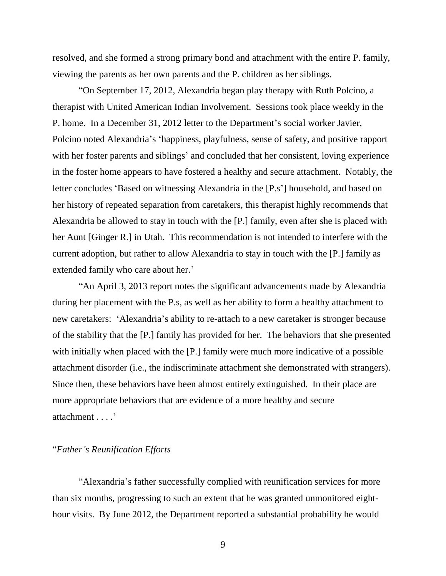resolved, and she formed a strong primary bond and attachment with the entire P. family, viewing the parents as her own parents and the P. children as her siblings.

"On September 17, 2012, Alexandria began play therapy with Ruth Polcino, a therapist with United American Indian Involvement. Sessions took place weekly in the P. home. In a December 31, 2012 letter to the Department's social worker Javier, Polcino noted Alexandria's 'happiness, playfulness, sense of safety, and positive rapport with her foster parents and siblings' and concluded that her consistent, loving experience in the foster home appears to have fostered a healthy and secure attachment. Notably, the letter concludes 'Based on witnessing Alexandria in the [P.s'] household, and based on her history of repeated separation from caretakers, this therapist highly recommends that Alexandria be allowed to stay in touch with the [P.] family, even after she is placed with her Aunt [Ginger R.] in Utah. This recommendation is not intended to interfere with the current adoption, but rather to allow Alexandria to stay in touch with the [P.] family as extended family who care about her.'

"An April 3, 2013 report notes the significant advancements made by Alexandria during her placement with the P.s, as well as her ability to form a healthy attachment to new caretakers: 'Alexandria's ability to re-attach to a new caretaker is stronger because of the stability that the [P.] family has provided for her. The behaviors that she presented with initially when placed with the [P.] family were much more indicative of a possible attachment disorder (i.e., the indiscriminate attachment she demonstrated with strangers). Since then, these behaviors have been almost entirely extinguished. In their place are more appropriate behaviors that are evidence of a more healthy and secure attachment . . . .'

# "*Father's Reunification Efforts*

"Alexandria's father successfully complied with reunification services for more than six months, progressing to such an extent that he was granted unmonitored eighthour visits. By June 2012, the Department reported a substantial probability he would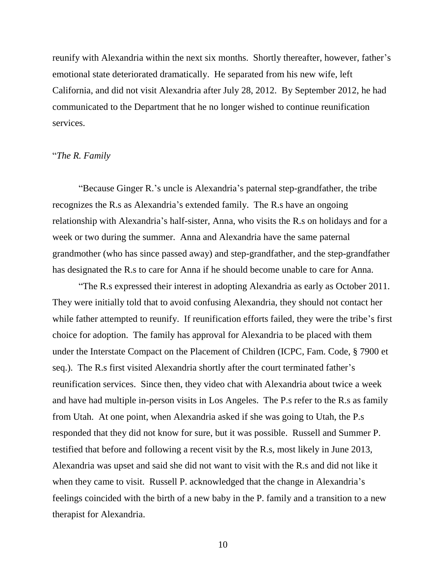reunify with Alexandria within the next six months. Shortly thereafter, however, father's emotional state deteriorated dramatically. He separated from his new wife, left California, and did not visit Alexandria after July 28, 2012. By September 2012, he had communicated to the Department that he no longer wished to continue reunification services.

### "*The R. Family*

"Because Ginger R.'s uncle is Alexandria's paternal step-grandfather, the tribe recognizes the R.s as Alexandria's extended family. The R.s have an ongoing relationship with Alexandria's half-sister, Anna, who visits the R.s on holidays and for a week or two during the summer. Anna and Alexandria have the same paternal grandmother (who has since passed away) and step-grandfather, and the step-grandfather has designated the R.s to care for Anna if he should become unable to care for Anna.

"The R.s expressed their interest in adopting Alexandria as early as October 2011. They were initially told that to avoid confusing Alexandria, they should not contact her while father attempted to reunify. If reunification efforts failed, they were the tribe's first choice for adoption. The family has approval for Alexandria to be placed with them under the Interstate Compact on the Placement of Children (ICPC, Fam. Code, § 7900 et seq.). The R.s first visited Alexandria shortly after the court terminated father's reunification services. Since then, they video chat with Alexandria about twice a week and have had multiple in-person visits in Los Angeles. The P.s refer to the R.s as family from Utah. At one point, when Alexandria asked if she was going to Utah, the P.s responded that they did not know for sure, but it was possible. Russell and Summer P. testified that before and following a recent visit by the R.s, most likely in June 2013, Alexandria was upset and said she did not want to visit with the R.s and did not like it when they came to visit. Russell P. acknowledged that the change in Alexandria's feelings coincided with the birth of a new baby in the P. family and a transition to a new therapist for Alexandria.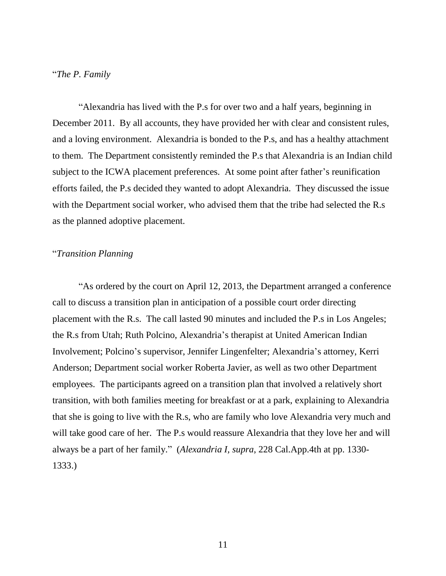#### "*The P. Family*

"Alexandria has lived with the P.s for over two and a half years, beginning in December 2011. By all accounts, they have provided her with clear and consistent rules, and a loving environment. Alexandria is bonded to the P.s, and has a healthy attachment to them. The Department consistently reminded the P.s that Alexandria is an Indian child subject to the ICWA placement preferences. At some point after father's reunification efforts failed, the P.s decided they wanted to adopt Alexandria. They discussed the issue with the Department social worker, who advised them that the tribe had selected the R.s as the planned adoptive placement.

## "*Transition Planning*

"As ordered by the court on April 12, 2013, the Department arranged a conference call to discuss a transition plan in anticipation of a possible court order directing placement with the R.s. The call lasted 90 minutes and included the P.s in Los Angeles; the R.s from Utah; Ruth Polcino, Alexandria's therapist at United American Indian Involvement; Polcino's supervisor, Jennifer Lingenfelter; Alexandria's attorney, Kerri Anderson; Department social worker Roberta Javier, as well as two other Department employees. The participants agreed on a transition plan that involved a relatively short transition, with both families meeting for breakfast or at a park, explaining to Alexandria that she is going to live with the R.s, who are family who love Alexandria very much and will take good care of her. The P.s would reassure Alexandria that they love her and will always be a part of her family." (*Alexandria I, supra*, 228 Cal.App.4th at pp. 1330- 1333.)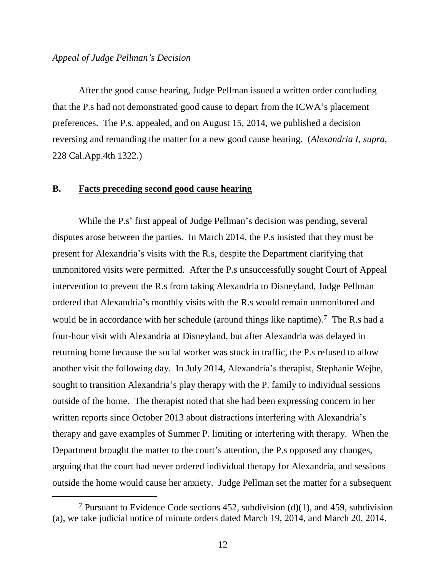$\overline{a}$ 

After the good cause hearing, Judge Pellman issued a written order concluding that the P.s had not demonstrated good cause to depart from the ICWA's placement preferences. The P.s. appealed, and on August 15, 2014, we published a decision reversing and remanding the matter for a new good cause hearing. (*Alexandria I*, *supra*, 228 Cal.App.4th 1322.)

# **B. Facts preceding second good cause hearing**

While the P.s' first appeal of Judge Pellman's decision was pending, several disputes arose between the parties. In March 2014, the P.s insisted that they must be present for Alexandria's visits with the R.s, despite the Department clarifying that unmonitored visits were permitted. After the P.s unsuccessfully sought Court of Appeal intervention to prevent the R.s from taking Alexandria to Disneyland, Judge Pellman ordered that Alexandria's monthly visits with the R.s would remain unmonitored and would be in accordance with her schedule (around things like naptime).<sup>7</sup> The R.s had a four-hour visit with Alexandria at Disneyland, but after Alexandria was delayed in returning home because the social worker was stuck in traffic, the P.s refused to allow another visit the following day. In July 2014, Alexandria's therapist, Stephanie Wejbe, sought to transition Alexandria's play therapy with the P. family to individual sessions outside of the home. The therapist noted that she had been expressing concern in her written reports since October 2013 about distractions interfering with Alexandria's therapy and gave examples of Summer P. limiting or interfering with therapy. When the Department brought the matter to the court's attention, the P.s opposed any changes, arguing that the court had never ordered individual therapy for Alexandria, and sessions outside the home would cause her anxiety. Judge Pellman set the matter for a subsequent

<sup>&</sup>lt;sup>7</sup> Pursuant to Evidence Code sections 452, subdivision (d)(1), and 459, subdivision (a), we take judicial notice of minute orders dated March 19, 2014, and March 20, 2014.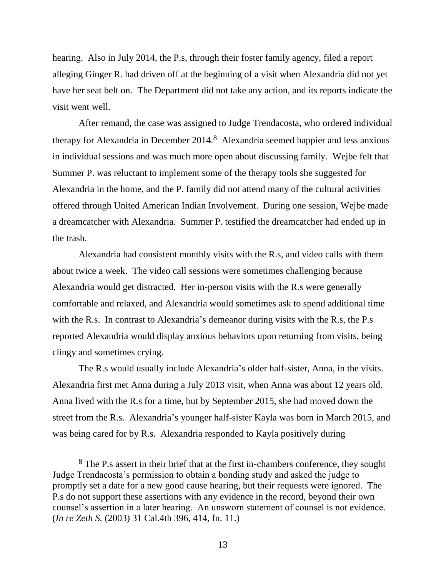hearing. Also in July 2014, the P.s, through their foster family agency, filed a report alleging Ginger R. had driven off at the beginning of a visit when Alexandria did not yet have her seat belt on. The Department did not take any action, and its reports indicate the visit went well.

After remand, the case was assigned to Judge Trendacosta, who ordered individual therapy for Alexandria in December 2014.<sup>8</sup> Alexandria seemed happier and less anxious in individual sessions and was much more open about discussing family. Wejbe felt that Summer P. was reluctant to implement some of the therapy tools she suggested for Alexandria in the home, and the P. family did not attend many of the cultural activities offered through United American Indian Involvement. During one session, Wejbe made a dreamcatcher with Alexandria. Summer P. testified the dreamcatcher had ended up in the trash.

Alexandria had consistent monthly visits with the R.s, and video calls with them about twice a week. The video call sessions were sometimes challenging because Alexandria would get distracted. Her in-person visits with the R.s were generally comfortable and relaxed, and Alexandria would sometimes ask to spend additional time with the R.s. In contrast to Alexandria's demeanor during visits with the R.s, the P.s reported Alexandria would display anxious behaviors upon returning from visits, being clingy and sometimes crying.

The R.s would usually include Alexandria's older half-sister, Anna, in the visits. Alexandria first met Anna during a July 2013 visit, when Anna was about 12 years old. Anna lived with the R.s for a time, but by September 2015, she had moved down the street from the R.s. Alexandria's younger half-sister Kayla was born in March 2015, and was being cared for by R.s. Alexandria responded to Kayla positively during

<sup>&</sup>lt;sup>8</sup> The P.s assert in their brief that at the first in-chambers conference, they sought Judge Trendacosta's permission to obtain a bonding study and asked the judge to promptly set a date for a new good cause hearing, but their requests were ignored. The P.s do not support these assertions with any evidence in the record, beyond their own counsel's assertion in a later hearing. An unsworn statement of counsel is not evidence. (*In re Zeth S.* (2003) 31 Cal.4th 396, 414, fn. 11.)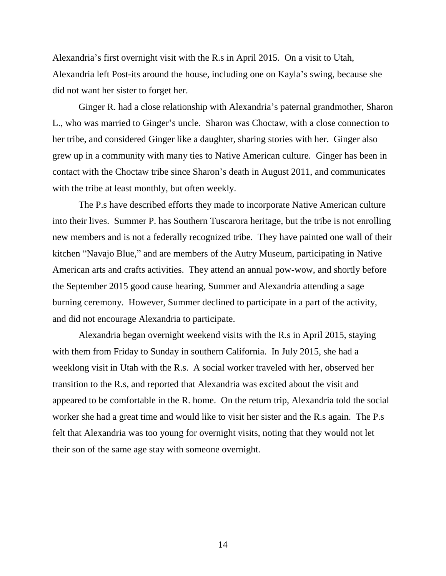Alexandria's first overnight visit with the R.s in April 2015. On a visit to Utah, Alexandria left Post-its around the house, including one on Kayla's swing, because she did not want her sister to forget her.

Ginger R. had a close relationship with Alexandria's paternal grandmother, Sharon L., who was married to Ginger's uncle. Sharon was Choctaw, with a close connection to her tribe, and considered Ginger like a daughter, sharing stories with her. Ginger also grew up in a community with many ties to Native American culture. Ginger has been in contact with the Choctaw tribe since Sharon's death in August 2011, and communicates with the tribe at least monthly, but often weekly.

The P.s have described efforts they made to incorporate Native American culture into their lives. Summer P. has Southern Tuscarora heritage, but the tribe is not enrolling new members and is not a federally recognized tribe. They have painted one wall of their kitchen "Navajo Blue," and are members of the Autry Museum, participating in Native American arts and crafts activities. They attend an annual pow-wow, and shortly before the September 2015 good cause hearing, Summer and Alexandria attending a sage burning ceremony. However, Summer declined to participate in a part of the activity, and did not encourage Alexandria to participate.

Alexandria began overnight weekend visits with the R.s in April 2015, staying with them from Friday to Sunday in southern California. In July 2015, she had a weeklong visit in Utah with the R.s. A social worker traveled with her, observed her transition to the R.s, and reported that Alexandria was excited about the visit and appeared to be comfortable in the R. home. On the return trip, Alexandria told the social worker she had a great time and would like to visit her sister and the R.s again. The P.s felt that Alexandria was too young for overnight visits, noting that they would not let their son of the same age stay with someone overnight.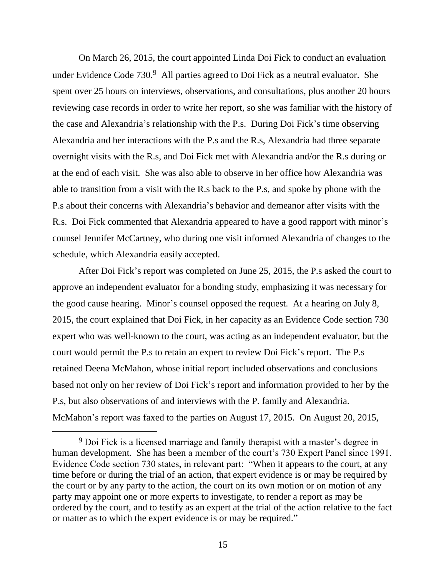On March 26, 2015, the court appointed Linda Doi Fick to conduct an evaluation under Evidence Code 730.<sup>9</sup> All parties agreed to Doi Fick as a neutral evaluator. She spent over 25 hours on interviews, observations, and consultations, plus another 20 hours reviewing case records in order to write her report, so she was familiar with the history of the case and Alexandria's relationship with the P.s. During Doi Fick's time observing Alexandria and her interactions with the P.s and the R.s, Alexandria had three separate overnight visits with the R.s, and Doi Fick met with Alexandria and/or the R.s during or at the end of each visit. She was also able to observe in her office how Alexandria was able to transition from a visit with the R.s back to the P.s, and spoke by phone with the P.s about their concerns with Alexandria's behavior and demeanor after visits with the R.s. Doi Fick commented that Alexandria appeared to have a good rapport with minor's counsel Jennifer McCartney, who during one visit informed Alexandria of changes to the schedule, which Alexandria easily accepted.

After Doi Fick's report was completed on June 25, 2015, the P.s asked the court to approve an independent evaluator for a bonding study, emphasizing it was necessary for the good cause hearing. Minor's counsel opposed the request. At a hearing on July 8, 2015, the court explained that Doi Fick, in her capacity as an Evidence Code section 730 expert who was well-known to the court, was acting as an independent evaluator, but the court would permit the P.s to retain an expert to review Doi Fick's report. The P.s retained Deena McMahon, whose initial report included observations and conclusions based not only on her review of Doi Fick's report and information provided to her by the P.s, but also observations of and interviews with the P. family and Alexandria. McMahon's report was faxed to the parties on August 17, 2015. On August 20, 2015,

<sup>&</sup>lt;sup>9</sup> Doi Fick is a licensed marriage and family therapist with a master's degree in human development. She has been a member of the court's 730 Expert Panel since 1991. Evidence Code section 730 states, in relevant part: "When it appears to the court, at any time before or during the trial of an action, that expert evidence is or may be required by the court or by any party to the action, the court on its own motion or on motion of any party may appoint one or more experts to investigate, to render a report as may be ordered by the court, and to testify as an expert at the trial of the action relative to the fact or matter as to which the expert evidence is or may be required."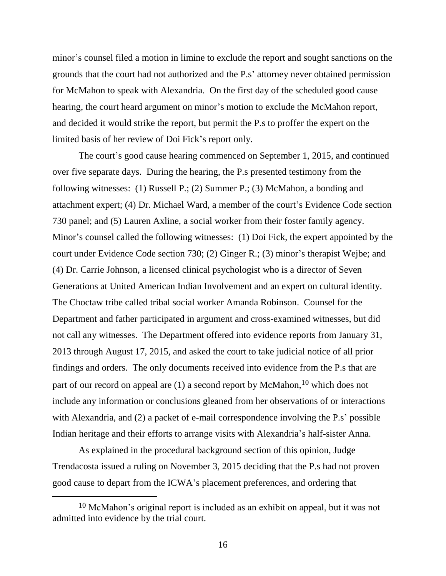minor's counsel filed a motion in limine to exclude the report and sought sanctions on the grounds that the court had not authorized and the P.s' attorney never obtained permission for McMahon to speak with Alexandria. On the first day of the scheduled good cause hearing, the court heard argument on minor's motion to exclude the McMahon report, and decided it would strike the report, but permit the P.s to proffer the expert on the limited basis of her review of Doi Fick's report only.

The court's good cause hearing commenced on September 1, 2015, and continued over five separate days. During the hearing, the P.s presented testimony from the following witnesses: (1) Russell P.; (2) Summer P.; (3) McMahon, a bonding and attachment expert; (4) Dr. Michael Ward, a member of the court's Evidence Code section 730 panel; and (5) Lauren Axline, a social worker from their foster family agency. Minor's counsel called the following witnesses: (1) Doi Fick, the expert appointed by the court under Evidence Code section 730; (2) Ginger R.; (3) minor's therapist Wejbe; and (4) Dr. Carrie Johnson, a licensed clinical psychologist who is a director of Seven Generations at United American Indian Involvement and an expert on cultural identity. The Choctaw tribe called tribal social worker Amanda Robinson. Counsel for the Department and father participated in argument and cross-examined witnesses, but did not call any witnesses. The Department offered into evidence reports from January 31, 2013 through August 17, 2015, and asked the court to take judicial notice of all prior findings and orders. The only documents received into evidence from the P.s that are part of our record on appeal are  $(1)$  a second report by McMahon, <sup>10</sup> which does not include any information or conclusions gleaned from her observations of or interactions with Alexandria, and (2) a packet of e-mail correspondence involving the P.s' possible Indian heritage and their efforts to arrange visits with Alexandria's half-sister Anna.

As explained in the procedural background section of this opinion, Judge Trendacosta issued a ruling on November 3, 2015 deciding that the P.s had not proven good cause to depart from the ICWA's placement preferences, and ordering that

 $\overline{a}$ 

 $10$  McMahon's original report is included as an exhibit on appeal, but it was not admitted into evidence by the trial court.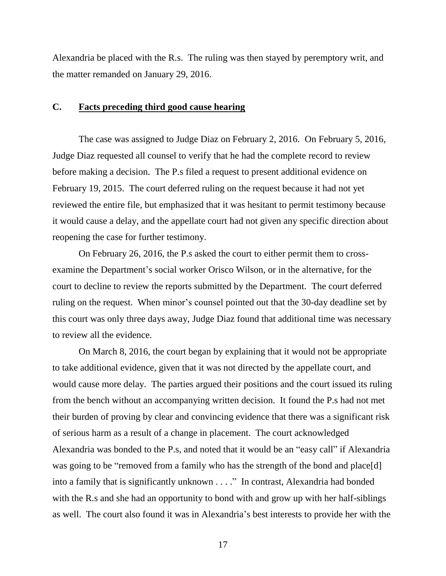Alexandria be placed with the R.s. The ruling was then stayed by peremptory writ, and the matter remanded on January 29, 2016.

### **C. Facts preceding third good cause hearing**

The case was assigned to Judge Diaz on February 2, 2016. On February 5, 2016, Judge Diaz requested all counsel to verify that he had the complete record to review before making a decision. The P.s filed a request to present additional evidence on February 19, 2015. The court deferred ruling on the request because it had not yet reviewed the entire file, but emphasized that it was hesitant to permit testimony because it would cause a delay, and the appellate court had not given any specific direction about reopening the case for further testimony.

On February 26, 2016, the P.s asked the court to either permit them to crossexamine the Department's social worker Orisco Wilson, or in the alternative, for the court to decline to review the reports submitted by the Department. The court deferred ruling on the request. When minor's counsel pointed out that the 30-day deadline set by this court was only three days away, Judge Diaz found that additional time was necessary to review all the evidence.

On March 8, 2016, the court began by explaining that it would not be appropriate to take additional evidence, given that it was not directed by the appellate court, and would cause more delay. The parties argued their positions and the court issued its ruling from the bench without an accompanying written decision. It found the P.s had not met their burden of proving by clear and convincing evidence that there was a significant risk of serious harm as a result of a change in placement. The court acknowledged Alexandria was bonded to the P.s, and noted that it would be an "easy call" if Alexandria was going to be "removed from a family who has the strength of the bond and place[d] into a family that is significantly unknown . . . ." In contrast, Alexandria had bonded with the R<sub>s</sub> and she had an opportunity to bond with and grow up with her half-siblings as well. The court also found it was in Alexandria's best interests to provide her with the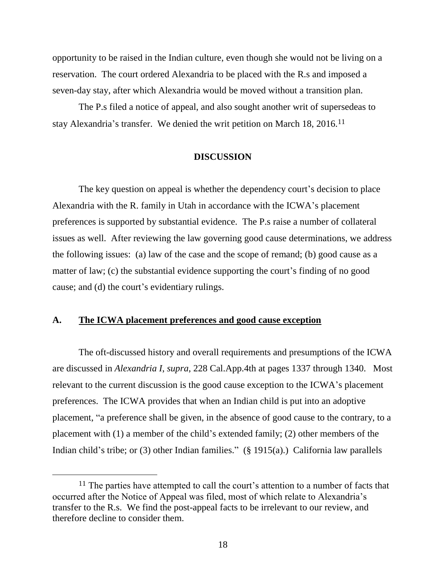opportunity to be raised in the Indian culture, even though she would not be living on a reservation. The court ordered Alexandria to be placed with the R.s and imposed a seven-day stay, after which Alexandria would be moved without a transition plan.

The P.s filed a notice of appeal, and also sought another writ of supersedeas to stay Alexandria's transfer. We denied the writ petition on March  $18$ ,  $2016$ .<sup>11</sup>

### **DISCUSSION**

The key question on appeal is whether the dependency court's decision to place Alexandria with the R. family in Utah in accordance with the ICWA's placement preferences is supported by substantial evidence. The P.s raise a number of collateral issues as well. After reviewing the law governing good cause determinations, we address the following issues: (a) law of the case and the scope of remand; (b) good cause as a matter of law; (c) the substantial evidence supporting the court's finding of no good cause; and (d) the court's evidentiary rulings.

### **A. The ICWA placement preferences and good cause exception**

 $\overline{a}$ 

The oft-discussed history and overall requirements and presumptions of the ICWA are discussed in *Alexandria I*, *supra*, 228 Cal.App.4th at pages 1337 through 1340. Most relevant to the current discussion is the good cause exception to the ICWA's placement preferences. The ICWA provides that when an Indian child is put into an adoptive placement, "a preference shall be given, in the absence of good cause to the contrary, to a placement with (1) a member of the child's extended family; (2) other members of the Indian child's tribe; or (3) other Indian families." (§ 1915(a).) California law parallels

<sup>&</sup>lt;sup>11</sup> The parties have attempted to call the court's attention to a number of facts that occurred after the Notice of Appeal was filed, most of which relate to Alexandria's transfer to the R.s. We find the post-appeal facts to be irrelevant to our review, and therefore decline to consider them.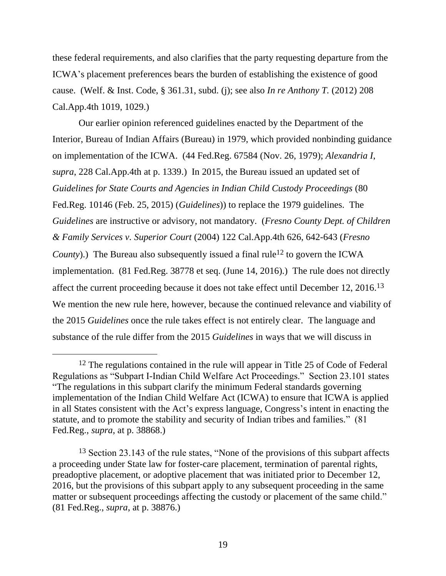these federal requirements, and also clarifies that the party requesting departure from the ICWA's placement preferences bears the burden of establishing the existence of good cause. (Welf. & Inst. Code, § 361.31, subd. (j); see also *In re Anthony T.* (2012) 208 Cal.App.4th 1019, 1029.)

Our earlier opinion referenced guidelines enacted by the Department of the Interior, Bureau of Indian Affairs (Bureau) in 1979, which provided nonbinding guidance on implementation of the ICWA. (44 Fed.Reg. 67584 (Nov. 26, 1979); *Alexandria I*, *supra*, 228 Cal.App.4th at p. 1339.) In 2015, the Bureau issued an updated set of *Guidelines for State Courts and Agencies in Indian Child Custody Proceedings* (80 Fed.Reg. 10146 (Feb. 25, 2015) (*Guidelines*)) to replace the 1979 guidelines. The *Guidelines* are instructive or advisory, not mandatory. (*Fresno County Dept. of Children & Family Services v. Superior Court* (2004) 122 Cal.App.4th 626, 642-643 (*Fresno County*).) The Bureau also subsequently issued a final rule<sup>12</sup> to govern the ICWA implementation. (81 Fed.Reg. 38778 et seq. (June 14, 2016).) The rule does not directly affect the current proceeding because it does not take effect until December 12, 2016.<sup>13</sup> We mention the new rule here, however, because the continued relevance and viability of the 2015 *Guidelines* once the rule takes effect is not entirely clear. The language and substance of the rule differ from the 2015 *Guidelines* in ways that we will discuss in

<sup>&</sup>lt;sup>12</sup> The regulations contained in the rule will appear in Title 25 of Code of Federal Regulations as "Subpart I-Indian Child Welfare Act Proceedings." Section 23.101 states "The regulations in this subpart clarify the minimum Federal standards governing implementation of the Indian Child Welfare Act (ICWA) to ensure that ICWA is applied in all States consistent with the Act's express language, Congress's intent in enacting the statute, and to promote the stability and security of Indian tribes and families." (81 Fed.Reg., *supra*, at p. 38868.)

<sup>&</sup>lt;sup>13</sup> Section 23.143 of the rule states, "None of the provisions of this subpart affects a proceeding under State law for foster-care placement, termination of parental rights, preadoptive placement, or adoptive placement that was initiated prior to December 12, 2016, but the provisions of this subpart apply to any subsequent proceeding in the same matter or subsequent proceedings affecting the custody or placement of the same child." (81 Fed.Reg., *supra*, at p. 38876.)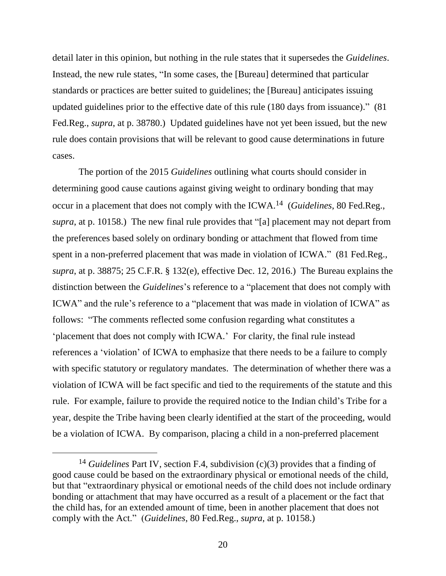detail later in this opinion, but nothing in the rule states that it supersedes the *Guidelines*. Instead, the new rule states, "In some cases, the [Bureau] determined that particular standards or practices are better suited to guidelines; the [Bureau] anticipates issuing updated guidelines prior to the effective date of this rule (180 days from issuance)." (81 Fed.Reg., *supra*, at p. 38780.) Updated guidelines have not yet been issued, but the new rule does contain provisions that will be relevant to good cause determinations in future cases.

The portion of the 2015 *Guidelines* outlining what courts should consider in determining good cause cautions against giving weight to ordinary bonding that may occur in a placement that does not comply with the ICWA. 14 (*Guidelines*, 80 Fed.Reg., *supra*, at p. 10158.) The new final rule provides that "[a] placement may not depart from the preferences based solely on ordinary bonding or attachment that flowed from time spent in a non-preferred placement that was made in violation of ICWA." (81 Fed.Reg., *supra*, at p. 38875; 25 C.F.R. § 132(e), effective Dec. 12, 2016.) The Bureau explains the distinction between the *Guidelines*'s reference to a "placement that does not comply with ICWA" and the rule's reference to a "placement that was made in violation of ICWA" as follows: "The comments reflected some confusion regarding what constitutes a 'placement that does not comply with ICWA.' For clarity, the final rule instead references a 'violation' of ICWA to emphasize that there needs to be a failure to comply with specific statutory or regulatory mandates. The determination of whether there was a violation of ICWA will be fact specific and tied to the requirements of the statute and this rule. For example, failure to provide the required notice to the Indian child's Tribe for a year, despite the Tribe having been clearly identified at the start of the proceeding, would be a violation of ICWA. By comparison, placing a child in a non-preferred placement

<sup>14</sup> *Guidelines* Part IV, section F.4, subdivision (c)(3) provides that a finding of good cause could be based on the extraordinary physical or emotional needs of the child, but that "extraordinary physical or emotional needs of the child does not include ordinary bonding or attachment that may have occurred as a result of a placement or the fact that the child has, for an extended amount of time, been in another placement that does not comply with the Act." (*Guidelines*, 80 Fed.Reg., *supra*, at p. 10158.)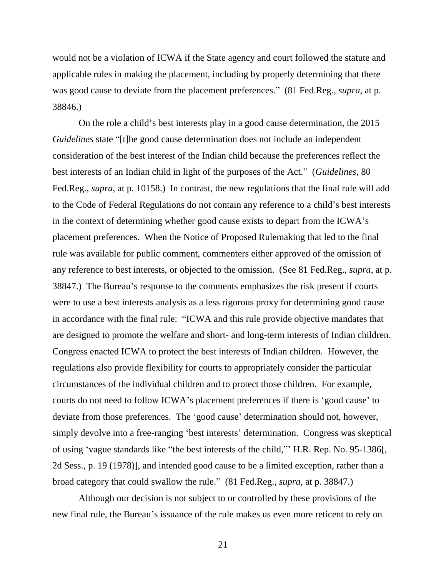would not be a violation of ICWA if the State agency and court followed the statute and applicable rules in making the placement, including by properly determining that there was good cause to deviate from the placement preferences." (81 Fed.Reg., *supra*, at p. 38846.)

On the role a child's best interests play in a good cause determination, the 2015 *Guidelines* state "[t]he good cause determination does not include an independent consideration of the best interest of the Indian child because the preferences reflect the best interests of an Indian child in light of the purposes of the Act." (*Guidelines*, 80 Fed.Reg., *supra*, at p. 10158.) In contrast, the new regulations that the final rule will add to the Code of Federal Regulations do not contain any reference to a child's best interests in the context of determining whether good cause exists to depart from the ICWA's placement preferences. When the Notice of Proposed Rulemaking that led to the final rule was available for public comment, commenters either approved of the omission of any reference to best interests, or objected to the omission. (See 81 Fed.Reg., *supra*, at p. 38847.) The Bureau's response to the comments emphasizes the risk present if courts were to use a best interests analysis as a less rigorous proxy for determining good cause in accordance with the final rule: "ICWA and this rule provide objective mandates that are designed to promote the welfare and short- and long-term interests of Indian children. Congress enacted ICWA to protect the best interests of Indian children. However, the regulations also provide flexibility for courts to appropriately consider the particular circumstances of the individual children and to protect those children. For example, courts do not need to follow ICWA's placement preferences if there is 'good cause' to deviate from those preferences. The 'good cause' determination should not, however, simply devolve into a free-ranging 'best interests' determination. Congress was skeptical of using 'vague standards like "the best interests of the child,"' H.R. Rep. No. 95-1386[, 2d Sess., p. 19 (1978)], and intended good cause to be a limited exception, rather than a broad category that could swallow the rule." (81 Fed.Reg., *supra*, at p. 38847.)

Although our decision is not subject to or controlled by these provisions of the new final rule, the Bureau's issuance of the rule makes us even more reticent to rely on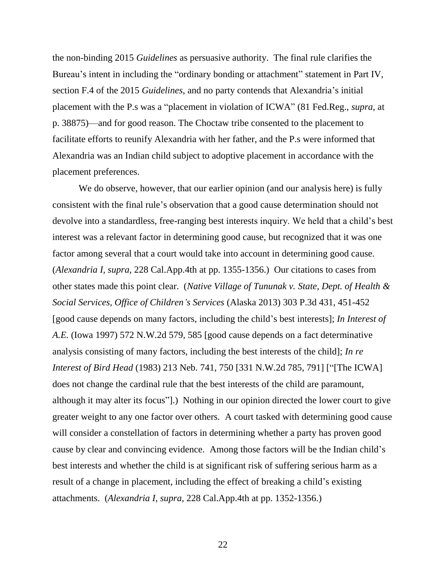the non-binding 2015 *Guidelines* as persuasive authority. The final rule clarifies the Bureau's intent in including the "ordinary bonding or attachment" statement in Part IV, section F.4 of the 2015 *Guidelines*, and no party contends that Alexandria's initial placement with the P.s was a "placement in violation of ICWA" (81 Fed.Reg., *supra*, at p. 38875)—and for good reason. The Choctaw tribe consented to the placement to facilitate efforts to reunify Alexandria with her father, and the P.s were informed that Alexandria was an Indian child subject to adoptive placement in accordance with the placement preferences.

We do observe, however, that our earlier opinion (and our analysis here) is fully consistent with the final rule's observation that a good cause determination should not devolve into a standardless, free-ranging best interests inquiry. We held that a child's best interest was a relevant factor in determining good cause, but recognized that it was one factor among several that a court would take into account in determining good cause. (*Alexandria I, supra*, 228 Cal.App.4th at pp. 1355-1356.) Our citations to cases from other states made this point clear. (*Native Village of Tununak v. State, Dept. of Health & Social Services, Office of Children's Services* (Alaska 2013) 303 P.3d 431, 451-452 [good cause depends on many factors, including the child's best interests]; *In Interest of A.E.* (Iowa 1997) 572 N.W.2d 579, 585 [good cause depends on a fact determinative analysis consisting of many factors, including the best interests of the child]; *In re Interest of Bird Head* (1983) 213 Neb. 741, 750 [331 N.W.2d 785, 791] ["[The ICWA] does not change the cardinal rule that the best interests of the child are paramount, although it may alter its focus"].) Nothing in our opinion directed the lower court to give greater weight to any one factor over others. A court tasked with determining good cause will consider a constellation of factors in determining whether a party has proven good cause by clear and convincing evidence. Among those factors will be the Indian child's best interests and whether the child is at significant risk of suffering serious harm as a result of a change in placement, including the effect of breaking a child's existing attachments. (*Alexandria I*, *supra*, 228 Cal.App.4th at pp. 1352-1356.)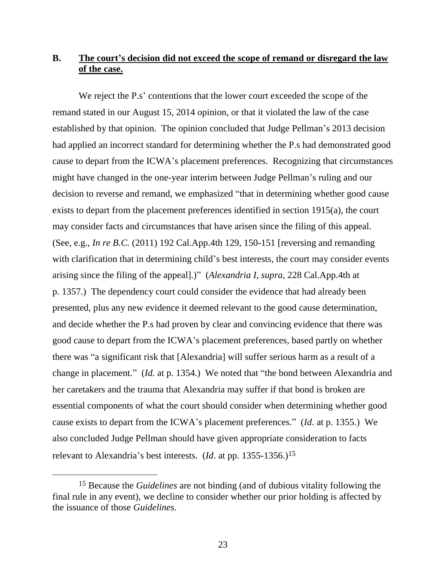# **B. The court's decision did not exceed the scope of remand or disregard the law of the case.**

We reject the P.s' contentions that the lower court exceeded the scope of the remand stated in our August 15, 2014 opinion, or that it violated the law of the case established by that opinion. The opinion concluded that Judge Pellman's 2013 decision had applied an incorrect standard for determining whether the P.s had demonstrated good cause to depart from the ICWA's placement preferences. Recognizing that circumstances might have changed in the one-year interim between Judge Pellman's ruling and our decision to reverse and remand, we emphasized "that in determining whether good cause exists to depart from the placement preferences identified in section 1915(a), the court may consider facts and circumstances that have arisen since the filing of this appeal. (See, e.g., *In re B.C.* (2011) 192 Cal.App.4th 129, 150-151 [reversing and remanding with clarification that in determining child's best interests, the court may consider events arising since the filing of the appeal].)" (*Alexandria I*, *supra*, 228 Cal.App.4th at p. 1357.) The dependency court could consider the evidence that had already been presented, plus any new evidence it deemed relevant to the good cause determination, and decide whether the P.s had proven by clear and convincing evidence that there was good cause to depart from the ICWA's placement preferences, based partly on whether there was "a significant risk that [Alexandria] will suffer serious harm as a result of a change in placement." (*Id.* at p. 1354.) We noted that "the bond between Alexandria and her caretakers and the trauma that Alexandria may suffer if that bond is broken are essential components of what the court should consider when determining whether good cause exists to depart from the ICWA's placement preferences." (*Id*. at p. 1355.) We also concluded Judge Pellman should have given appropriate consideration to facts relevant to Alexandria's best interests. (*Id*. at pp. 1355-1356.)<sup>15</sup>

 $\overline{a}$ 

<sup>15</sup> Because the *Guidelines* are not binding (and of dubious vitality following the final rule in any event), we decline to consider whether our prior holding is affected by the issuance of those *Guidelines*.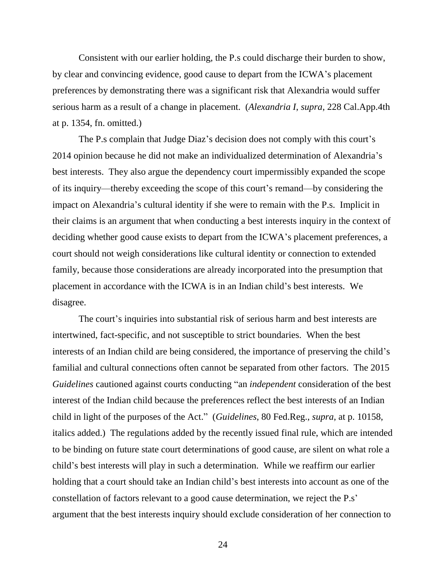Consistent with our earlier holding, the P.s could discharge their burden to show, by clear and convincing evidence, good cause to depart from the ICWA's placement preferences by demonstrating there was a significant risk that Alexandria would suffer serious harm as a result of a change in placement. (*Alexandria I*, *supra*, 228 Cal.App.4th at p. 1354, fn. omitted.)

The P.s complain that Judge Diaz's decision does not comply with this court's 2014 opinion because he did not make an individualized determination of Alexandria's best interests. They also argue the dependency court impermissibly expanded the scope of its inquiry—thereby exceeding the scope of this court's remand—by considering the impact on Alexandria's cultural identity if she were to remain with the P.s. Implicit in their claims is an argument that when conducting a best interests inquiry in the context of deciding whether good cause exists to depart from the ICWA's placement preferences, a court should not weigh considerations like cultural identity or connection to extended family, because those considerations are already incorporated into the presumption that placement in accordance with the ICWA is in an Indian child's best interests. We disagree.

The court's inquiries into substantial risk of serious harm and best interests are intertwined, fact-specific, and not susceptible to strict boundaries. When the best interests of an Indian child are being considered, the importance of preserving the child's familial and cultural connections often cannot be separated from other factors. The 2015 *Guidelines* cautioned against courts conducting "an *independent* consideration of the best interest of the Indian child because the preferences reflect the best interests of an Indian child in light of the purposes of the Act." (*Guidelines*, 80 Fed.Reg., *supra*, at p. 10158, italics added.) The regulations added by the recently issued final rule, which are intended to be binding on future state court determinations of good cause, are silent on what role a child's best interests will play in such a determination. While we reaffirm our earlier holding that a court should take an Indian child's best interests into account as one of the constellation of factors relevant to a good cause determination, we reject the P.s' argument that the best interests inquiry should exclude consideration of her connection to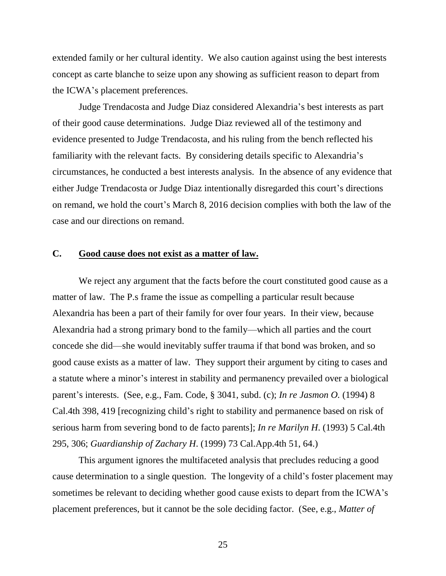extended family or her cultural identity. We also caution against using the best interests concept as carte blanche to seize upon any showing as sufficient reason to depart from the ICWA's placement preferences.

Judge Trendacosta and Judge Diaz considered Alexandria's best interests as part of their good cause determinations. Judge Diaz reviewed all of the testimony and evidence presented to Judge Trendacosta, and his ruling from the bench reflected his familiarity with the relevant facts. By considering details specific to Alexandria's circumstances, he conducted a best interests analysis. In the absence of any evidence that either Judge Trendacosta or Judge Diaz intentionally disregarded this court's directions on remand, we hold the court's March 8, 2016 decision complies with both the law of the case and our directions on remand.

# **C. Good cause does not exist as a matter of law.**

We reject any argument that the facts before the court constituted good cause as a matter of law. The P.s frame the issue as compelling a particular result because Alexandria has been a part of their family for over four years. In their view, because Alexandria had a strong primary bond to the family—which all parties and the court concede she did—she would inevitably suffer trauma if that bond was broken, and so good cause exists as a matter of law. They support their argument by citing to cases and a statute where a minor's interest in stability and permanency prevailed over a biological parent's interests. (See, e.g., Fam. Code, § 3041, subd. (c); *In re Jasmon O.* (1994) 8 Cal.4th 398, 419 [recognizing child's right to stability and permanence based on risk of serious harm from severing bond to de facto parents]; *In re Marilyn H*. (1993) 5 Cal.4th 295, 306; *Guardianship of Zachary H*. (1999) 73 Cal.App.4th 51, 64.)

This argument ignores the multifaceted analysis that precludes reducing a good cause determination to a single question. The longevity of a child's foster placement may sometimes be relevant to deciding whether good cause exists to depart from the ICWA's placement preferences, but it cannot be the sole deciding factor. (See, e.g., *Matter of*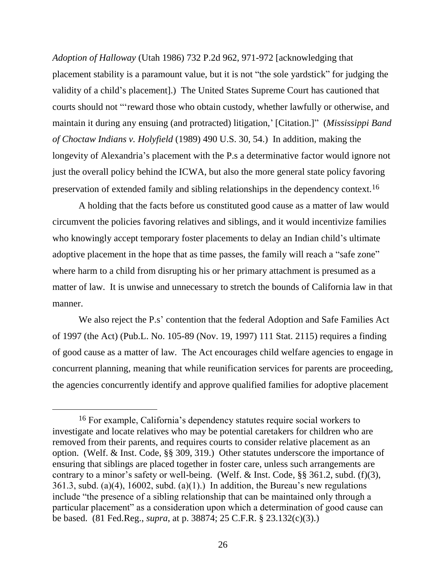*Adoption of Halloway* (Utah 1986) 732 P.2d 962, 971-972 [acknowledging that placement stability is a paramount value, but it is not "the sole yardstick" for judging the validity of a child's placement].) The United States Supreme Court has cautioned that courts should not "'reward those who obtain custody, whether lawfully or otherwise, and maintain it during any ensuing (and protracted) litigation,' [Citation.]" (*Mississippi Band of Choctaw Indians v. Holyfield* (1989) 490 U.S. 30, 54.) In addition, making the longevity of Alexandria's placement with the P.s a determinative factor would ignore not just the overall policy behind the ICWA, but also the more general state policy favoring preservation of extended family and sibling relationships in the dependency context.<sup>16</sup>

A holding that the facts before us constituted good cause as a matter of law would circumvent the policies favoring relatives and siblings, and it would incentivize families who knowingly accept temporary foster placements to delay an Indian child's ultimate adoptive placement in the hope that as time passes, the family will reach a "safe zone" where harm to a child from disrupting his or her primary attachment is presumed as a matter of law. It is unwise and unnecessary to stretch the bounds of California law in that manner.

We also reject the P.s' contention that the federal Adoption and Safe Families Act of 1997 (the Act) (Pub.L. No. 105-89 (Nov. 19, 1997) 111 Stat. 2115) requires a finding of good cause as a matter of law. The Act encourages child welfare agencies to engage in concurrent planning, meaning that while reunification services for parents are proceeding, the agencies concurrently identify and approve qualified families for adoptive placement

 $\overline{a}$ 

<sup>16</sup> For example, California's dependency statutes require social workers to investigate and locate relatives who may be potential caretakers for children who are removed from their parents, and requires courts to consider relative placement as an option. (Welf. & Inst. Code, §§ 309, 319.) Other statutes underscore the importance of ensuring that siblings are placed together in foster care, unless such arrangements are contrary to a minor's safety or well-being. (Welf. & Inst. Code, §§ 361.2, subd. (f)(3), 361.3, subd. (a)(4), 16002, subd. (a)(1).) In addition, the Bureau's new regulations include "the presence of a sibling relationship that can be maintained only through a particular placement" as a consideration upon which a determination of good cause can be based. (81 Fed.Reg., *supra*, at p. 38874; 25 C.F.R. § 23.132(c)(3).)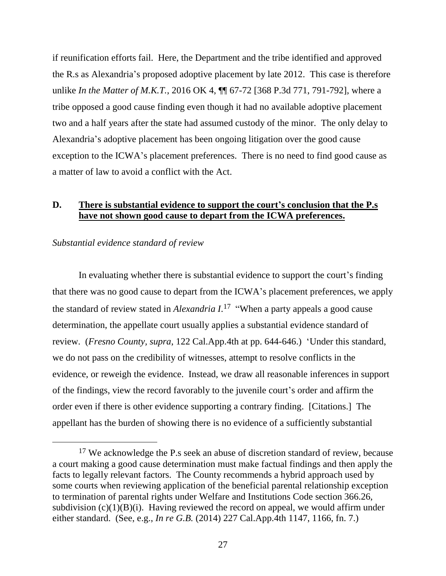if reunification efforts fail. Here, the Department and the tribe identified and approved the R.s as Alexandria's proposed adoptive placement by late 2012. This case is therefore unlike *In the Matter of M.K.T.*, 2016 OK 4, ¶¶ 67-72 [368 P.3d 771, 791-792], where a tribe opposed a good cause finding even though it had no available adoptive placement two and a half years after the state had assumed custody of the minor. The only delay to Alexandria's adoptive placement has been ongoing litigation over the good cause exception to the ICWA's placement preferences. There is no need to find good cause as a matter of law to avoid a conflict with the Act.

# **D. There is substantial evidence to support the court's conclusion that the P.s have not shown good cause to depart from the ICWA preferences.**

### *Substantial evidence standard of review*

In evaluating whether there is substantial evidence to support the court's finding that there was no good cause to depart from the ICWA's placement preferences, we apply the standard of review stated in *Alexandria I*. 17 "When a party appeals a good cause determination, the appellate court usually applies a substantial evidence standard of review. (*Fresno County, supra*, 122 Cal.App.4th at pp. 644-646.) 'Under this standard, we do not pass on the credibility of witnesses, attempt to resolve conflicts in the evidence, or reweigh the evidence. Instead, we draw all reasonable inferences in support of the findings, view the record favorably to the juvenile court's order and affirm the order even if there is other evidence supporting a contrary finding. [Citations.] The appellant has the burden of showing there is no evidence of a sufficiently substantial

<sup>&</sup>lt;sup>17</sup> We acknowledge the P.s seek an abuse of discretion standard of review, because a court making a good cause determination must make factual findings and then apply the facts to legally relevant factors. The County recommends a hybrid approach used by some courts when reviewing application of the beneficial parental relationship exception to termination of parental rights under Welfare and Institutions Code section 366.26, subdivision  $(c)(1)(B)(i)$ . Having reviewed the record on appeal, we would affirm under either standard. (See, e.g., *In re G.B.* (2014) 227 Cal.App.4th 1147, 1166, fn. 7.)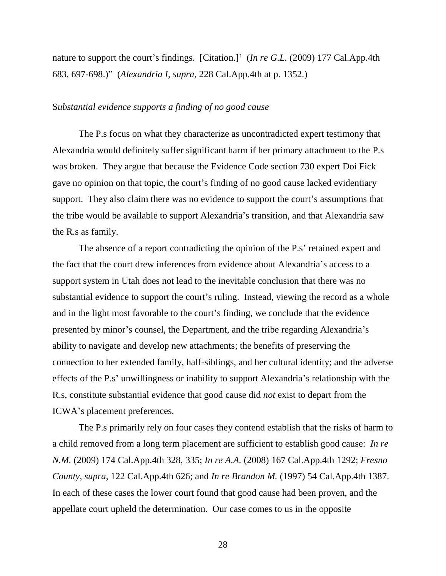nature to support the court's findings. [Citation.]' (*In re G.L.* (2009) 177 Cal.App.4th 683, 697-698.)" (*Alexandria I, supra*, 228 Cal.App.4th at p. 1352.)

#### S*ubstantial evidence supports a finding of no good cause*

The P.s focus on what they characterize as uncontradicted expert testimony that Alexandria would definitely suffer significant harm if her primary attachment to the P.s was broken. They argue that because the Evidence Code section 730 expert Doi Fick gave no opinion on that topic, the court's finding of no good cause lacked evidentiary support. They also claim there was no evidence to support the court's assumptions that the tribe would be available to support Alexandria's transition, and that Alexandria saw the R.s as family.

The absence of a report contradicting the opinion of the P.s' retained expert and the fact that the court drew inferences from evidence about Alexandria's access to a support system in Utah does not lead to the inevitable conclusion that there was no substantial evidence to support the court's ruling. Instead, viewing the record as a whole and in the light most favorable to the court's finding, we conclude that the evidence presented by minor's counsel, the Department, and the tribe regarding Alexandria's ability to navigate and develop new attachments; the benefits of preserving the connection to her extended family, half-siblings, and her cultural identity; and the adverse effects of the P.s' unwillingness or inability to support Alexandria's relationship with the R.s, constitute substantial evidence that good cause did *not* exist to depart from the ICWA's placement preferences.

The P.s primarily rely on four cases they contend establish that the risks of harm to a child removed from a long term placement are sufficient to establish good cause: *In re N.M.* (2009) 174 Cal.App.4th 328, 335; *In re A.A.* (2008) 167 Cal.App.4th 1292; *Fresno County, supra,* 122 Cal.App.4th 626; and *In re Brandon M.* (1997) 54 Cal.App.4th 1387. In each of these cases the lower court found that good cause had been proven, and the appellate court upheld the determination. Our case comes to us in the opposite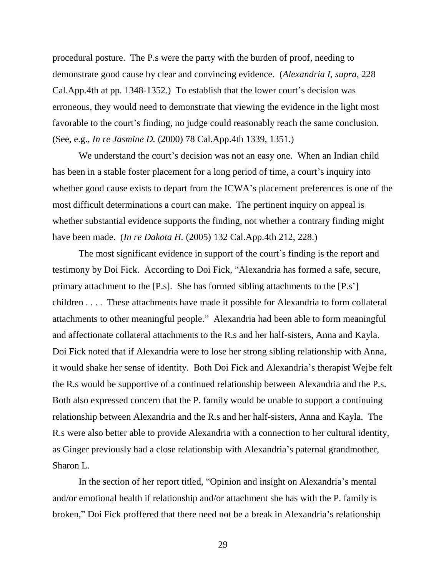procedural posture. The P.s were the party with the burden of proof, needing to demonstrate good cause by clear and convincing evidence. (*Alexandria I*, *supra*, 228 Cal.App.4th at pp. 1348-1352.) To establish that the lower court's decision was erroneous, they would need to demonstrate that viewing the evidence in the light most favorable to the court's finding, no judge could reasonably reach the same conclusion. (See, e.g., *In re Jasmine D.* (2000) 78 Cal.App.4th 1339, 1351.)

We understand the court's decision was not an easy one. When an Indian child has been in a stable foster placement for a long period of time, a court's inquiry into whether good cause exists to depart from the ICWA's placement preferences is one of the most difficult determinations a court can make. The pertinent inquiry on appeal is whether substantial evidence supports the finding, not whether a contrary finding might have been made. (*In re Dakota H.* (2005) 132 Cal.App.4th 212, 228.)

The most significant evidence in support of the court's finding is the report and testimony by Doi Fick. According to Doi Fick, "Alexandria has formed a safe, secure, primary attachment to the [P.s]. She has formed sibling attachments to the [P.s'] children . . . . These attachments have made it possible for Alexandria to form collateral attachments to other meaningful people." Alexandria had been able to form meaningful and affectionate collateral attachments to the R.s and her half-sisters, Anna and Kayla. Doi Fick noted that if Alexandria were to lose her strong sibling relationship with Anna, it would shake her sense of identity. Both Doi Fick and Alexandria's therapist Wejbe felt the R.s would be supportive of a continued relationship between Alexandria and the P.s. Both also expressed concern that the P. family would be unable to support a continuing relationship between Alexandria and the R.s and her half-sisters, Anna and Kayla. The R.s were also better able to provide Alexandria with a connection to her cultural identity, as Ginger previously had a close relationship with Alexandria's paternal grandmother, Sharon L.

In the section of her report titled, "Opinion and insight on Alexandria's mental and/or emotional health if relationship and/or attachment she has with the P. family is broken," Doi Fick proffered that there need not be a break in Alexandria's relationship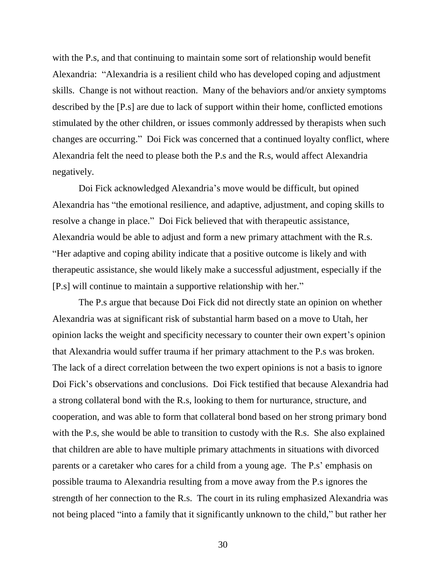with the P.s, and that continuing to maintain some sort of relationship would benefit Alexandria: "Alexandria is a resilient child who has developed coping and adjustment skills. Change is not without reaction. Many of the behaviors and/or anxiety symptoms described by the [P.s] are due to lack of support within their home, conflicted emotions stimulated by the other children, or issues commonly addressed by therapists when such changes are occurring." Doi Fick was concerned that a continued loyalty conflict, where Alexandria felt the need to please both the P.s and the R.s, would affect Alexandria negatively.

Doi Fick acknowledged Alexandria's move would be difficult, but opined Alexandria has "the emotional resilience, and adaptive, adjustment, and coping skills to resolve a change in place." Doi Fick believed that with therapeutic assistance, Alexandria would be able to adjust and form a new primary attachment with the R.s. "Her adaptive and coping ability indicate that a positive outcome is likely and with therapeutic assistance, she would likely make a successful adjustment, especially if the [P.s] will continue to maintain a supportive relationship with her."

The P.s argue that because Doi Fick did not directly state an opinion on whether Alexandria was at significant risk of substantial harm based on a move to Utah, her opinion lacks the weight and specificity necessary to counter their own expert's opinion that Alexandria would suffer trauma if her primary attachment to the P.s was broken. The lack of a direct correlation between the two expert opinions is not a basis to ignore Doi Fick's observations and conclusions. Doi Fick testified that because Alexandria had a strong collateral bond with the R.s, looking to them for nurturance, structure, and cooperation, and was able to form that collateral bond based on her strong primary bond with the P.s, she would be able to transition to custody with the R.s. She also explained that children are able to have multiple primary attachments in situations with divorced parents or a caretaker who cares for a child from a young age. The P.s' emphasis on possible trauma to Alexandria resulting from a move away from the P.s ignores the strength of her connection to the R.s. The court in its ruling emphasized Alexandria was not being placed "into a family that it significantly unknown to the child," but rather her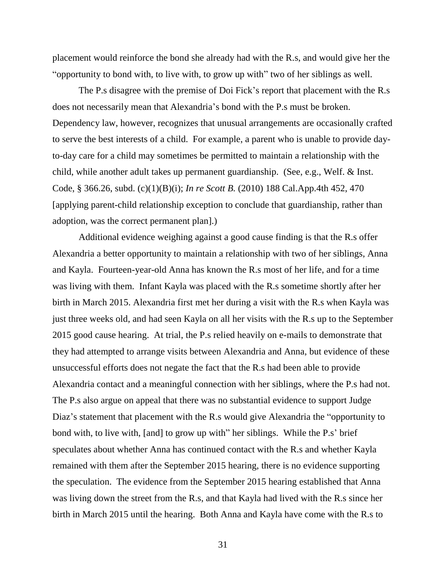placement would reinforce the bond she already had with the R.s, and would give her the "opportunity to bond with, to live with, to grow up with" two of her siblings as well.

The P.s disagree with the premise of Doi Fick's report that placement with the R.s does not necessarily mean that Alexandria's bond with the P.s must be broken. Dependency law, however, recognizes that unusual arrangements are occasionally crafted to serve the best interests of a child. For example, a parent who is unable to provide dayto-day care for a child may sometimes be permitted to maintain a relationship with the child, while another adult takes up permanent guardianship. (See, e.g., Welf. & Inst. Code, § 366.26, subd. (c)(1)(B)(i); *In re Scott B.* (2010) 188 Cal.App.4th 452, 470 [applying parent-child relationship exception to conclude that guardianship, rather than adoption, was the correct permanent plan].)

Additional evidence weighing against a good cause finding is that the R.s offer Alexandria a better opportunity to maintain a relationship with two of her siblings, Anna and Kayla. Fourteen-year-old Anna has known the R.s most of her life, and for a time was living with them. Infant Kayla was placed with the R.s sometime shortly after her birth in March 2015. Alexandria first met her during a visit with the R.s when Kayla was just three weeks old, and had seen Kayla on all her visits with the R.s up to the September 2015 good cause hearing. At trial, the P.s relied heavily on e-mails to demonstrate that they had attempted to arrange visits between Alexandria and Anna, but evidence of these unsuccessful efforts does not negate the fact that the R.s had been able to provide Alexandria contact and a meaningful connection with her siblings, where the P.s had not. The P.s also argue on appeal that there was no substantial evidence to support Judge Diaz's statement that placement with the R.s would give Alexandria the "opportunity to bond with, to live with, [and] to grow up with" her siblings. While the P.s' brief speculates about whether Anna has continued contact with the R.s and whether Kayla remained with them after the September 2015 hearing, there is no evidence supporting the speculation. The evidence from the September 2015 hearing established that Anna was living down the street from the R.s, and that Kayla had lived with the R.s since her birth in March 2015 until the hearing. Both Anna and Kayla have come with the R.s to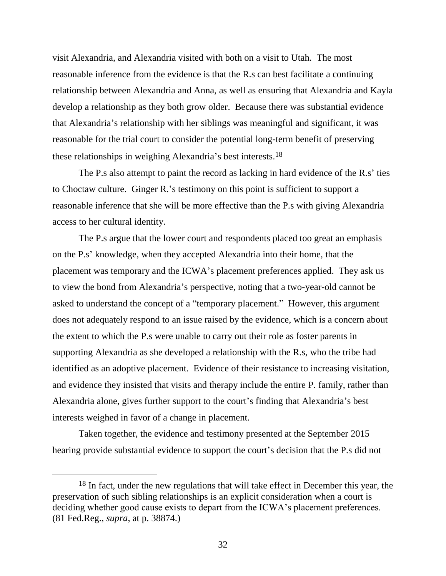visit Alexandria, and Alexandria visited with both on a visit to Utah. The most reasonable inference from the evidence is that the R.s can best facilitate a continuing relationship between Alexandria and Anna, as well as ensuring that Alexandria and Kayla develop a relationship as they both grow older. Because there was substantial evidence that Alexandria's relationship with her siblings was meaningful and significant, it was reasonable for the trial court to consider the potential long-term benefit of preserving these relationships in weighing Alexandria's best interests. 18

The P.s also attempt to paint the record as lacking in hard evidence of the R.s' ties to Choctaw culture. Ginger R.'s testimony on this point is sufficient to support a reasonable inference that she will be more effective than the P.s with giving Alexandria access to her cultural identity.

The P.s argue that the lower court and respondents placed too great an emphasis on the P.s' knowledge, when they accepted Alexandria into their home, that the placement was temporary and the ICWA's placement preferences applied. They ask us to view the bond from Alexandria's perspective, noting that a two-year-old cannot be asked to understand the concept of a "temporary placement." However, this argument does not adequately respond to an issue raised by the evidence, which is a concern about the extent to which the P.s were unable to carry out their role as foster parents in supporting Alexandria as she developed a relationship with the R.s, who the tribe had identified as an adoptive placement. Evidence of their resistance to increasing visitation, and evidence they insisted that visits and therapy include the entire P. family, rather than Alexandria alone, gives further support to the court's finding that Alexandria's best interests weighed in favor of a change in placement.

Taken together, the evidence and testimony presented at the September 2015 hearing provide substantial evidence to support the court's decision that the P.s did not

 $\overline{a}$ 

<sup>&</sup>lt;sup>18</sup> In fact, under the new regulations that will take effect in December this year, the preservation of such sibling relationships is an explicit consideration when a court is deciding whether good cause exists to depart from the ICWA's placement preferences. (81 Fed.Reg., *supra*, at p. 38874.)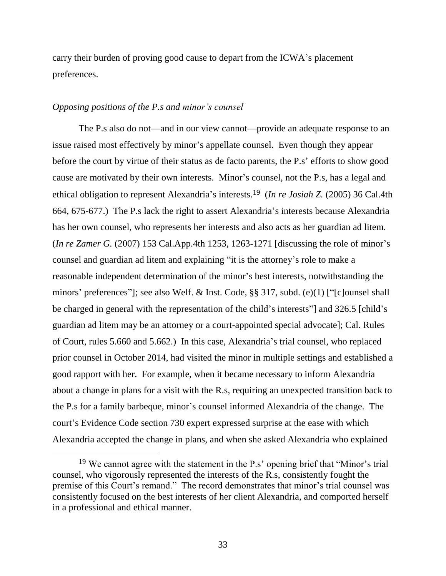carry their burden of proving good cause to depart from the ICWA's placement preferences.

#### *Opposing positions of the P.s and minor's counsel*

The P.s also do not—and in our view cannot—provide an adequate response to an issue raised most effectively by minor's appellate counsel. Even though they appear before the court by virtue of their status as de facto parents, the P.s' efforts to show good cause are motivated by their own interests. Minor's counsel, not the P.s, has a legal and ethical obligation to represent Alexandria's interests. 19 (*In re Josiah Z.* (2005) 36 Cal.4th 664, 675-677.) The P.s lack the right to assert Alexandria's interests because Alexandria has her own counsel, who represents her interests and also acts as her guardian ad litem. (*In re Zamer G.* (2007) 153 Cal.App.4th 1253, 1263-1271 [discussing the role of minor's counsel and guardian ad litem and explaining "it is the attorney's role to make a reasonable independent determination of the minor's best interests, notwithstanding the minors' preferences"]; see also Welf. & Inst. Code, §§ 317, subd. (e)(1) ["[c]ounsel shall be charged in general with the representation of the child's interests"] and 326.5 [child's guardian ad litem may be an attorney or a court-appointed special advocate]; Cal. Rules of Court, rules 5.660 and 5.662.) In this case, Alexandria's trial counsel, who replaced prior counsel in October 2014, had visited the minor in multiple settings and established a good rapport with her. For example, when it became necessary to inform Alexandria about a change in plans for a visit with the R.s, requiring an unexpected transition back to the P.s for a family barbeque, minor's counsel informed Alexandria of the change. The court's Evidence Code section 730 expert expressed surprise at the ease with which Alexandria accepted the change in plans, and when she asked Alexandria who explained

<sup>&</sup>lt;sup>19</sup> We cannot agree with the statement in the P.s' opening brief that "Minor's trial" counsel, who vigorously represented the interests of the R.s, consistently fought the premise of this Court's remand." The record demonstrates that minor's trial counsel was consistently focused on the best interests of her client Alexandria, and comported herself in a professional and ethical manner.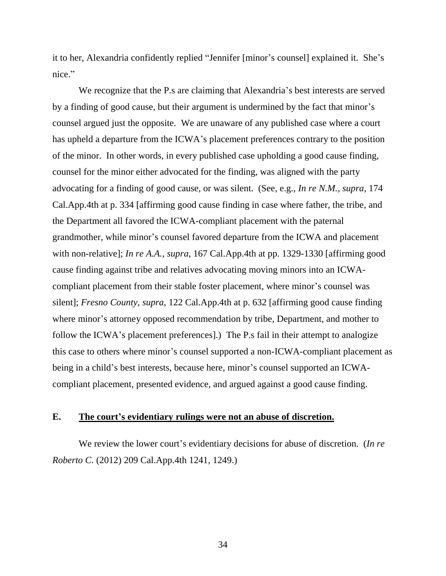it to her, Alexandria confidently replied "Jennifer [minor's counsel] explained it. She's nice."

We recognize that the P.s are claiming that Alexandria's best interests are served by a finding of good cause, but their argument is undermined by the fact that minor's counsel argued just the opposite. We are unaware of any published case where a court has upheld a departure from the ICWA's placement preferences contrary to the position of the minor. In other words, in every published case upholding a good cause finding, counsel for the minor either advocated for the finding, was aligned with the party advocating for a finding of good cause, or was silent. (See, e.g., *In re N.M., supra*, 174 Cal.App.4th at p. 334 [affirming good cause finding in case where father, the tribe, and the Department all favored the ICWA-compliant placement with the paternal grandmother, while minor's counsel favored departure from the ICWA and placement with non-relative]; *In re A.A.*, *supra*, 167 Cal.App.4th at pp. 1329-1330 [affirming good cause finding against tribe and relatives advocating moving minors into an ICWAcompliant placement from their stable foster placement, where minor's counsel was silent]; *Fresno County*, *supra*, 122 Cal.App.4th at p. 632 [affirming good cause finding where minor's attorney opposed recommendation by tribe, Department, and mother to follow the ICWA's placement preferences].) The P.s fail in their attempt to analogize this case to others where minor's counsel supported a non-ICWA-compliant placement as being in a child's best interests, because here, minor's counsel supported an ICWAcompliant placement, presented evidence, and argued against a good cause finding.

### **E. The court's evidentiary rulings were not an abuse of discretion.**

We review the lower court's evidentiary decisions for abuse of discretion. (*In re Roberto C.* (2012) 209 Cal.App.4th 1241, 1249.)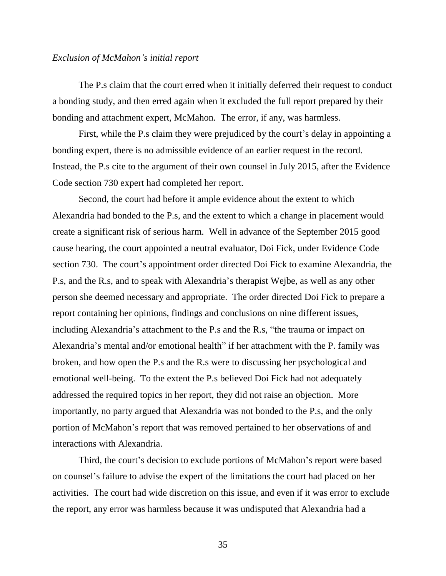#### *Exclusion of McMahon's initial report*

The P.s claim that the court erred when it initially deferred their request to conduct a bonding study, and then erred again when it excluded the full report prepared by their bonding and attachment expert, McMahon. The error, if any, was harmless.

First, while the P.s claim they were prejudiced by the court's delay in appointing a bonding expert, there is no admissible evidence of an earlier request in the record. Instead, the P.s cite to the argument of their own counsel in July 2015, after the Evidence Code section 730 expert had completed her report.

Second, the court had before it ample evidence about the extent to which Alexandria had bonded to the P.s, and the extent to which a change in placement would create a significant risk of serious harm. Well in advance of the September 2015 good cause hearing, the court appointed a neutral evaluator, Doi Fick, under Evidence Code section 730. The court's appointment order directed Doi Fick to examine Alexandria, the P.s, and the R.s, and to speak with Alexandria's therapist Wejbe, as well as any other person she deemed necessary and appropriate. The order directed Doi Fick to prepare a report containing her opinions, findings and conclusions on nine different issues, including Alexandria's attachment to the P.s and the R.s, "the trauma or impact on Alexandria's mental and/or emotional health" if her attachment with the P. family was broken, and how open the P.s and the R.s were to discussing her psychological and emotional well-being. To the extent the P.s believed Doi Fick had not adequately addressed the required topics in her report, they did not raise an objection. More importantly, no party argued that Alexandria was not bonded to the P.s, and the only portion of McMahon's report that was removed pertained to her observations of and interactions with Alexandria.

Third, the court's decision to exclude portions of McMahon's report were based on counsel's failure to advise the expert of the limitations the court had placed on her activities. The court had wide discretion on this issue, and even if it was error to exclude the report, any error was harmless because it was undisputed that Alexandria had a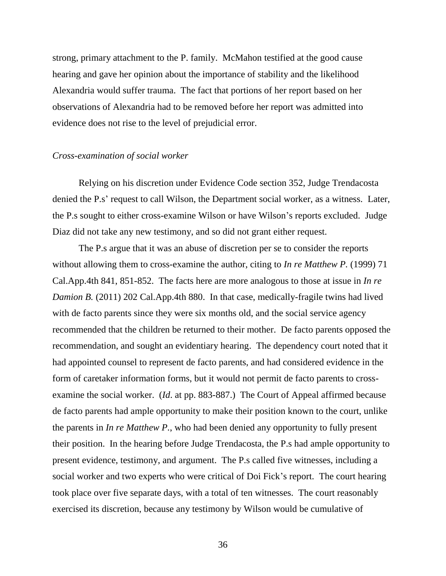strong, primary attachment to the P. family. McMahon testified at the good cause hearing and gave her opinion about the importance of stability and the likelihood Alexandria would suffer trauma. The fact that portions of her report based on her observations of Alexandria had to be removed before her report was admitted into evidence does not rise to the level of prejudicial error.

### *Cross-examination of social worker*

Relying on his discretion under Evidence Code section 352, Judge Trendacosta denied the P.s' request to call Wilson, the Department social worker, as a witness. Later, the P.s sought to either cross-examine Wilson or have Wilson's reports excluded. Judge Diaz did not take any new testimony, and so did not grant either request.

The P.s argue that it was an abuse of discretion per se to consider the reports without allowing them to cross-examine the author, citing to *In re Matthew P.* (1999) 71 Cal.App.4th 841, 851-852. The facts here are more analogous to those at issue in *In re Damion B.* (2011) 202 Cal.App.4th 880. In that case, medically-fragile twins had lived with de facto parents since they were six months old, and the social service agency recommended that the children be returned to their mother. De facto parents opposed the recommendation, and sought an evidentiary hearing. The dependency court noted that it had appointed counsel to represent de facto parents, and had considered evidence in the form of caretaker information forms, but it would not permit de facto parents to crossexamine the social worker. (*Id*. at pp. 883-887.) The Court of Appeal affirmed because de facto parents had ample opportunity to make their position known to the court, unlike the parents in *In re Matthew P.*, who had been denied any opportunity to fully present their position. In the hearing before Judge Trendacosta, the P.s had ample opportunity to present evidence, testimony, and argument. The P.s called five witnesses, including a social worker and two experts who were critical of Doi Fick's report. The court hearing took place over five separate days, with a total of ten witnesses. The court reasonably exercised its discretion, because any testimony by Wilson would be cumulative of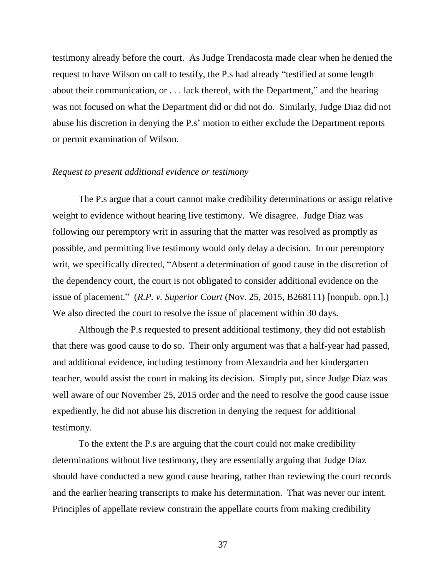testimony already before the court. As Judge Trendacosta made clear when he denied the request to have Wilson on call to testify, the P.s had already "testified at some length about their communication, or . . . lack thereof, with the Department," and the hearing was not focused on what the Department did or did not do. Similarly, Judge Diaz did not abuse his discretion in denying the P.s' motion to either exclude the Department reports or permit examination of Wilson.

## *Request to present additional evidence or testimony*

The P.s argue that a court cannot make credibility determinations or assign relative weight to evidence without hearing live testimony. We disagree. Judge Diaz was following our peremptory writ in assuring that the matter was resolved as promptly as possible, and permitting live testimony would only delay a decision. In our peremptory writ, we specifically directed, "Absent a determination of good cause in the discretion of the dependency court, the court is not obligated to consider additional evidence on the issue of placement." (*R.P. v. Superior Court* (Nov. 25, 2015, B268111) [nonpub. opn.].) We also directed the court to resolve the issue of placement within 30 days.

Although the P.s requested to present additional testimony, they did not establish that there was good cause to do so. Their only argument was that a half-year had passed, and additional evidence, including testimony from Alexandria and her kindergarten teacher, would assist the court in making its decision. Simply put, since Judge Diaz was well aware of our November 25, 2015 order and the need to resolve the good cause issue expediently, he did not abuse his discretion in denying the request for additional testimony.

To the extent the P.s are arguing that the court could not make credibility determinations without live testimony, they are essentially arguing that Judge Diaz should have conducted a new good cause hearing, rather than reviewing the court records and the earlier hearing transcripts to make his determination. That was never our intent. Principles of appellate review constrain the appellate courts from making credibility